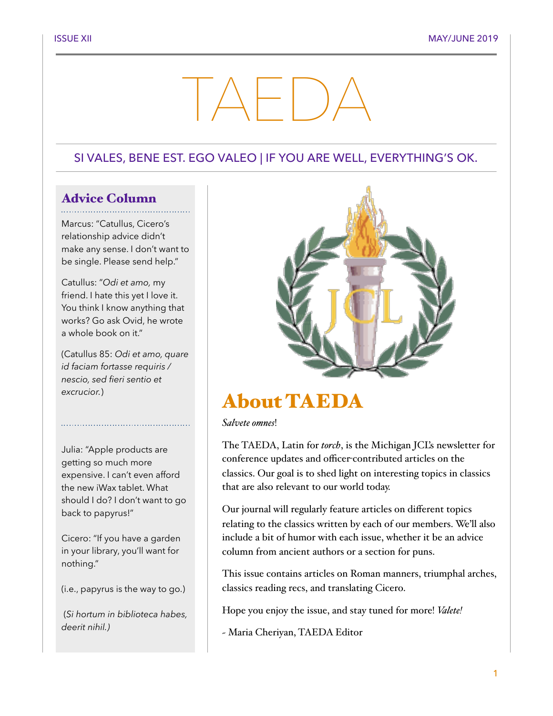# TAEDA

## SI VALES, BENE EST. EGO VALEO | IF YOU ARE WELL, EVERYTHING'S OK.

## Advice Column

Marcus: "Catullus, Cicero's relationship advice didn't make any sense. I don't want to be single. Please send help."

Catullus: "*Odi et amo,* my friend. I hate this yet I love it. You think I know anything that works? Go ask Ovid, he wrote a whole book on it."

(Catullus 85: *Odi et amo, quare id faciam fortasse requiris / nescio, sed fieri sentio et excrucior.*)

Julia: "Apple products are getting so much more expensive. I can't even afford the new iWax tablet. What should I do? I don't want to go back to papyrus!"

Cicero: "If you have a garden in your library, you'll want for nothing."

(i.e., papyrus is the way to go.)

 (*Si hortum in biblioteca habes, deerit nihil.)*



# About TAEDA

#### *Salvete omnes*!

The TAEDA, Latin for *torch*, is the Michigan JCL's newsletter for conference updates and officer-contributed articles on the classics. Our goal is to shed light on interesting topics in classics that are also relevant to our world today.

Our journal will regularly feature articles on different topics relating to the classics written by each of our members. We'll also include a bit of humor with each issue, whether it be an advice column from ancient authors or a section for puns.

This issue contains articles on Roman manners, triumphal arches, classics reading recs, and translating Cicero.

Hope you enjoy the issue, and stay tuned for more! *Valete!*

~ Maria Cheriyan, TAEDA Editor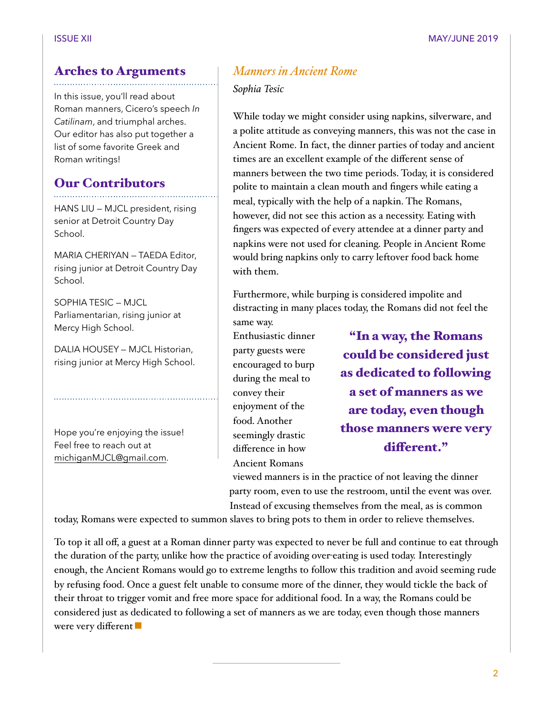## Arches to Arguments

In this issue, you'll read about Roman manners, Cicero's speech *In Catilinam*, and triumphal arches. Our editor has also put together a list of some favorite Greek and Roman writings!

## Our Contributors

HANS LIU — MJCL president, rising senior at Detroit Country Day School.

MARIA CHERIYAN — TAEDA Editor, rising junior at Detroit Country Day School.

SOPHIA TESIC — MJCL Parliamentarian, rising junior at Mercy High School.

DALIA HOUSEY — MJCL Historian, rising junior at Mercy High School.

Hope you're enjoying the issue! Feel free to reach out at [michiganMJCL@gmail.com](mailto:michiganMJCL@gmail.com).

## *Manners in Ancient Rome*

*Sophia Tesic* 

While today we might consider using napkins, silverware, and a polite attitude as conveying manners, this was not the case in Ancient Rome. In fact, the dinner parties of today and ancient times are an excellent example of the different sense of manners between the two time periods. Today, it is considered polite to maintain a clean mouth and fingers while eating a meal, typically with the help of a napkin. The Romans, however, did not see this action as a necessity. Eating with fingers was expected of every attendee at a dinner party and napkins were not used for cleaning. People in Ancient Rome would bring napkins only to carry leftover food back home with them.

Furthermore, while burping is considered impolite and distracting in many places today, the Romans did not feel the same way.

Enthusiastic dinner party guests were encouraged to burp during the meal to convey their enjoyment of the food. Another seemingly drastic difference in how Ancient Romans

"In a way, the Romans could be considered just as dedicated to following a set of manners as we are today, even though those manners were very diferent."

viewed manners is in the practice of not leaving the dinner party room, even to use the restroom, until the event was over. Instead of excusing themselves from the meal, as is common

today, Romans were expected to summon slaves to bring pots to them in order to relieve themselves.

To top it all off, a guest at a Roman dinner party was expected to never be full and continue to eat through the duration of the party, unlike how the practice of avoiding over-eating is used today. Interestingly enough, the Ancient Romans would go to extreme lengths to follow this tradition and avoid seeming rude by refusing food. Once a guest felt unable to consume more of the dinner, they would tickle the back of their throat to trigger vomit and free more space for additional food. In a way, the Romans could be considered just as dedicated to following a set of manners as we are today, even though those manners were very different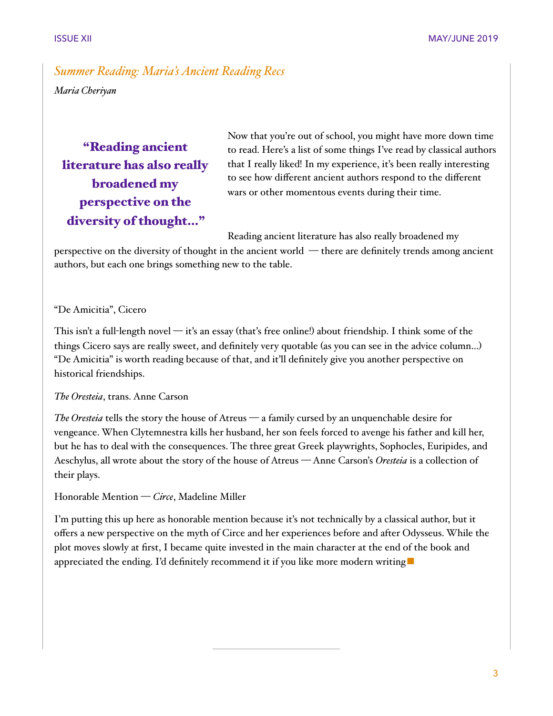## *Summer Reading: Maria's Ancient Reading Recs Maria Cheriyan*

## "Reading ancient literature has also really broadened my perspective on the diversity of thought…"

Now that you're out of school, you might have more down time to read. Here's a list of some things I've read by classical authors that I really liked! In my experience, it's been really interesting to see how different ancient authors respond to the different wars or other momentous events during their time.

Reading ancient literature has also really broadened my

perspective on the diversity of thought in the ancient world — there are definitely trends among ancient authors, but each one brings something new to the table.

### "De Amicitia", Cicero

This isn't a full-length novel — it's an essay (that's free online!) about friendship. I think some of the things Cicero says are really sweet, and definitely very quotable (as you can see in the advice column…) "De Amicitia" is worth reading because of that, and it'll definitely give you another perspective on historical friendships.

#### *The Oresteia*, trans. Anne Carson

*The Oresteia* tells the story the house of Atreus — a family cursed by an unquenchable desire for vengeance. When Clytemnestra kills her husband, her son feels forced to avenge his father and kill her, but he has to deal with the consequences. The three great Greek playwrights, Sophocles, Euripides, and Aeschylus, all wrote about the story of the house of Atreus — Anne Carson's *Oresteia* is a collection of their plays.

Honorable Mention — *Circe*, Madeline Miller

I'm putting this up here as honorable mention because it's not technically by a classical author, but it offers a new perspective on the myth of Circe and her experiences before and after Odysseus. While the plot moves slowly at first, I became quite invested in the main character at the end of the book and appreciated the ending. I'd definitely recommend it if you like more modern writing ■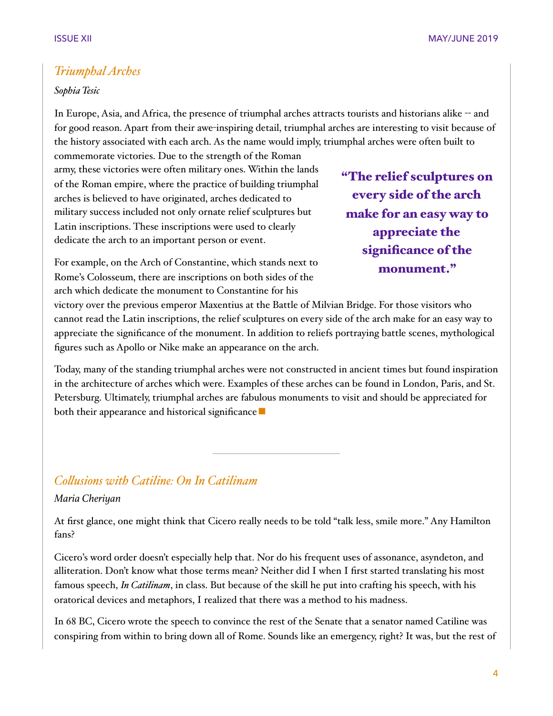## *Triumphal Arches*

#### *Sophia Tesic*

In Europe, Asia, and Africa, the presence of triumphal arches attracts tourists and historians alike -- and for good reason. Apart from their awe-inspiring detail, triumphal arches are interesting to visit because of the history associated with each arch. As the name would imply, triumphal arches were often built to

commemorate victories. Due to the strength of the Roman army, these victories were often military ones. Within the lands of the Roman empire, where the practice of building triumphal arches is believed to have originated, arches dedicated to military success included not only ornate relief sculptures but Latin inscriptions. These inscriptions were used to clearly dedicate the arch to an important person or event.

"The relief sculptures on every side of the arch make for an easy way to appreciate the significance of the monument."

For example, on the Arch of Constantine, which stands next to Rome's Colosseum, there are inscriptions on both sides of the arch which dedicate the monument to Constantine for his

victory over the previous emperor Maxentius at the Battle of Milvian Bridge. For those visitors who cannot read the Latin inscriptions, the relief sculptures on every side of the arch make for an easy way to appreciate the significance of the monument. In addition to reliefs portraying battle scenes, mythological figures such as Apollo or Nike make an appearance on the arch.

Today, many of the standing triumphal arches were not constructed in ancient times but found inspiration in the architecture of arches which were. Examples of these arches can be found in London, Paris, and St. Petersburg. Ultimately, triumphal arches are fabulous monuments to visit and should be appreciated for both their appearance and historical significance

## *Colusions with Catiline: On In Catilinam*

#### *Maria Cheriyan*

At first glance, one might think that Cicero really needs to be told "talk less, smile more." Any Hamilton fans?

Cicero's word order doesn't especially help that. Nor do his frequent uses of assonance, asyndeton, and alliteration. Don't know what those terms mean? Neither did I when I first started translating his most famous speech, *In Catilinam*, in class. But because of the skill he put into crafting his speech, with his oratorical devices and metaphors, I realized that there was a method to his madness.

In 68 BC, Cicero wrote the speech to convince the rest of the Senate that a senator named Catiline was conspiring from within to bring down all of Rome. Sounds like an emergency, right? It was, but the rest of